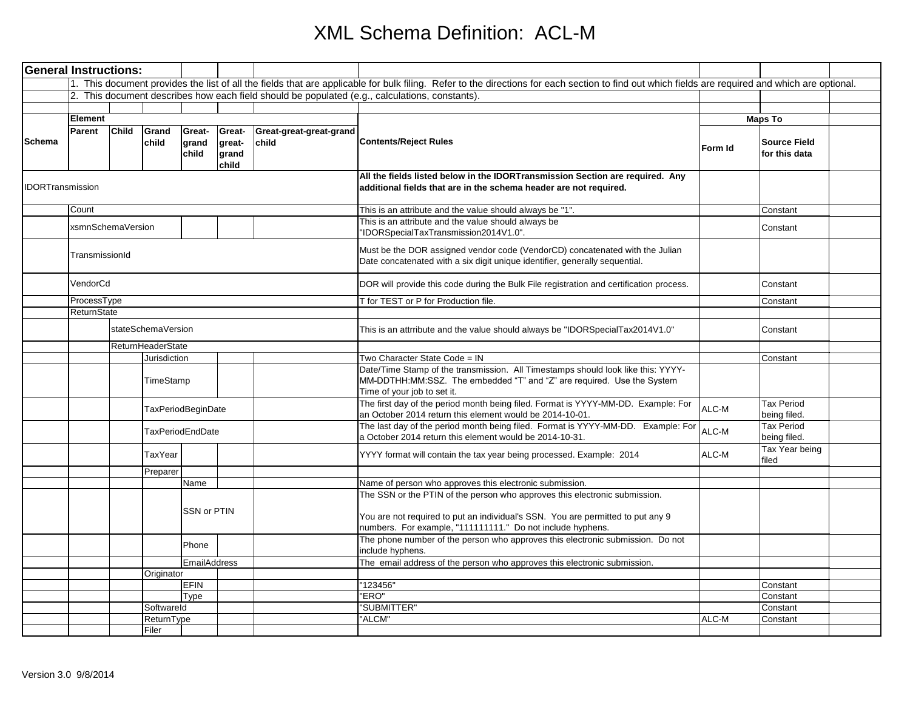| <b>General Instructions:</b> |                   |                                               |                           |                          |                                                                                                                                                                                                                             |                                  |                                                                                                                                                                                                                            |         |                                      |  |
|------------------------------|-------------------|-----------------------------------------------|---------------------------|--------------------------|-----------------------------------------------------------------------------------------------------------------------------------------------------------------------------------------------------------------------------|----------------------------------|----------------------------------------------------------------------------------------------------------------------------------------------------------------------------------------------------------------------------|---------|--------------------------------------|--|
|                              |                   |                                               |                           |                          |                                                                                                                                                                                                                             |                                  | 1. This document provides the list of all the fields that are applicable for bulk filing. Refer to the directions for each section to find out which fields are required and which are optional.                           |         |                                      |  |
|                              |                   |                                               |                           |                          |                                                                                                                                                                                                                             |                                  | 2. This document describes how each field should be populated (e.g., calculations, constants).                                                                                                                             |         |                                      |  |
|                              |                   |                                               |                           |                          |                                                                                                                                                                                                                             |                                  |                                                                                                                                                                                                                            |         |                                      |  |
|                              | Element           |                                               |                           |                          |                                                                                                                                                                                                                             |                                  |                                                                                                                                                                                                                            |         | <b>Maps To</b>                       |  |
| Schema                       | Parent            | <b>Child</b>                                  | Grand<br>child            | Great-<br>grand<br>child | Great-<br>great-<br>grand<br>child                                                                                                                                                                                          | Great-great-great-grand<br>child | <b>Contents/Reject Rules</b>                                                                                                                                                                                               | Form Id | <b>Source Field</b><br>for this data |  |
| <b>IDORTransmission</b>      |                   |                                               |                           |                          |                                                                                                                                                                                                                             |                                  | All the fields listed below in the IDORTransmission Section are required. Any<br>additional fields that are in the schema header are not required.                                                                         |         |                                      |  |
|                              | Count             |                                               |                           |                          |                                                                                                                                                                                                                             |                                  | This is an attribute and the value should always be "1".                                                                                                                                                                   |         | Constant                             |  |
|                              | xsmnSchemaVersion |                                               |                           |                          |                                                                                                                                                                                                                             |                                  | This is an attribute and the value should always be<br>'IDORSpecialTaxTransmission2014V1.0".                                                                                                                               |         | Constant                             |  |
|                              | TransmissionId    |                                               |                           |                          |                                                                                                                                                                                                                             |                                  | Must be the DOR assigned vendor code (VendorCD) concatenated with the Julian<br>Date concatenated with a six digit unique identifier, generally sequential.                                                                |         |                                      |  |
|                              | VendorCd          |                                               |                           |                          |                                                                                                                                                                                                                             |                                  | DOR will provide this code during the Bulk File registration and certification process.                                                                                                                                    |         | Constant                             |  |
|                              | ProcessType       |                                               |                           |                          |                                                                                                                                                                                                                             |                                  | for TEST or P for Production file.                                                                                                                                                                                         |         | Constant                             |  |
|                              |                   | ReturnState                                   |                           |                          |                                                                                                                                                                                                                             |                                  |                                                                                                                                                                                                                            |         |                                      |  |
|                              |                   |                                               | stateSchemaVersion        |                          |                                                                                                                                                                                                                             |                                  | This is an attrribute and the value should always be "IDORSpecialTax2014V1.0"                                                                                                                                              |         | Constant                             |  |
|                              |                   |                                               | ReturnHeaderState         |                          |                                                                                                                                                                                                                             |                                  |                                                                                                                                                                                                                            |         |                                      |  |
|                              |                   |                                               | Jurisdiction<br>TimeStamp |                          |                                                                                                                                                                                                                             |                                  | Two Character State Code = IN<br>Date/Time Stamp of the transmission. All Timestamps should look like this: YYYY-<br>MM-DDTHH:MM:SSZ. The embedded "T" and "Z" are required. Use the System<br>Time of your job to set it. |         | Constant                             |  |
|                              |                   | TaxPeriodBeginDate<br><b>TaxPeriodEndDate</b> |                           |                          |                                                                                                                                                                                                                             |                                  | The first day of the period month being filed. Format is YYYY-MM-DD. Example: For<br>an October 2014 return this element would be 2014-10-01.                                                                              | ALC-M   | Tax Period<br>being filed.           |  |
|                              |                   |                                               |                           |                          |                                                                                                                                                                                                                             |                                  | The last day of the period month being filed. Format is YYYY-MM-DD. Example: For ALC-M<br>a October 2014 return this element would be 2014-10-31.                                                                          |         | Tax Period<br>being filed.           |  |
|                              |                   |                                               | TaxYear                   |                          |                                                                                                                                                                                                                             |                                  | YYYY format will contain the tax year being processed. Example: 2014                                                                                                                                                       | ALC-M   | Tax Year being<br>filed              |  |
|                              |                   |                                               | Preparer                  |                          |                                                                                                                                                                                                                             |                                  |                                                                                                                                                                                                                            |         |                                      |  |
|                              |                   |                                               |                           | Name                     |                                                                                                                                                                                                                             |                                  | Name of person who approves this electronic submission.                                                                                                                                                                    |         |                                      |  |
|                              |                   | SSN or PTIN                                   |                           |                          | The SSN or the PTIN of the person who approves this electronic submission.<br>You are not required to put an individual's SSN. You are permitted to put any 9<br>numbers. For example, "111111111." Do not include hyphens. |                                  |                                                                                                                                                                                                                            |         |                                      |  |
|                              |                   |                                               |                           | Phone                    |                                                                                                                                                                                                                             |                                  | The phone number of the person who approves this electronic submission. Do not<br>include hyphens.                                                                                                                         |         |                                      |  |
|                              |                   |                                               |                           | EmailAddress             |                                                                                                                                                                                                                             |                                  | The email address of the person who approves this electronic submission.                                                                                                                                                   |         |                                      |  |
|                              |                   |                                               | Originator                |                          |                                                                                                                                                                                                                             |                                  |                                                                                                                                                                                                                            |         |                                      |  |
|                              |                   |                                               |                           | <b>EFIN</b>              |                                                                                                                                                                                                                             |                                  | "123456"                                                                                                                                                                                                                   |         | Constant                             |  |
|                              |                   |                                               |                           | Type                     |                                                                                                                                                                                                                             |                                  | "ERO"                                                                                                                                                                                                                      |         | Constant                             |  |
|                              |                   |                                               | Softwareld                |                          |                                                                                                                                                                                                                             |                                  | "SUBMITTER"                                                                                                                                                                                                                |         | Constant                             |  |
|                              |                   |                                               | ReturnType<br>Filer       |                          |                                                                                                                                                                                                                             |                                  | "ALCM"                                                                                                                                                                                                                     | ALC-M   | Constant                             |  |
|                              |                   |                                               |                           |                          |                                                                                                                                                                                                                             |                                  |                                                                                                                                                                                                                            |         |                                      |  |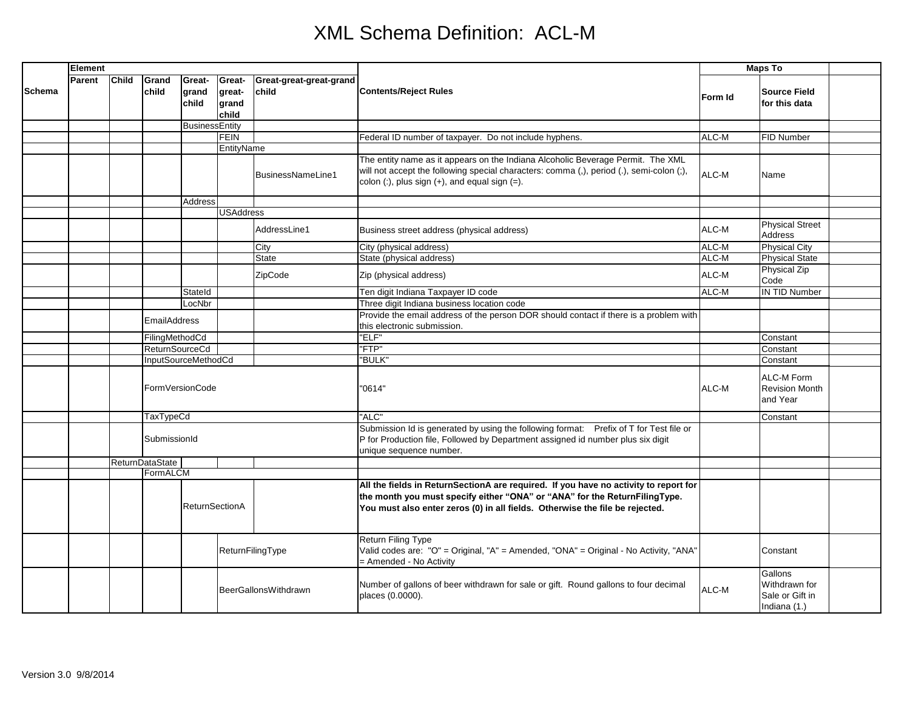|               | Element |                 |                        |                          |                                    |                                  | <b>Contents/Reject Rules</b>                                                                                                                                                                                                                       | <b>Maps To</b> |                                                             |  |
|---------------|---------|-----------------|------------------------|--------------------------|------------------------------------|----------------------------------|----------------------------------------------------------------------------------------------------------------------------------------------------------------------------------------------------------------------------------------------------|----------------|-------------------------------------------------------------|--|
| <b>Schema</b> | Parent  | <b>Child</b>    | Grand<br>child         | Great-<br>grand<br>child | Great-<br>great-<br>grand<br>child | Great-great-great-grand<br>child |                                                                                                                                                                                                                                                    | Form Id        | <b>Source Field</b><br>for this data                        |  |
|               |         |                 |                        | <b>BusinessEntity</b>    |                                    |                                  |                                                                                                                                                                                                                                                    |                |                                                             |  |
|               |         |                 |                        |                          | <b>FEIN</b>                        |                                  | Federal ID number of taxpayer. Do not include hyphens.                                                                                                                                                                                             | ALC-M          | FID Number                                                  |  |
|               |         |                 |                        |                          | EntityName                         |                                  |                                                                                                                                                                                                                                                    |                |                                                             |  |
|               |         |                 |                        |                          |                                    | BusinessNameLine1                | The entity name as it appears on the Indiana Alcoholic Beverage Permit. The XML<br>will not accept the following special characters: comma (,), period (.), semi-colon (;),<br>colon $($ :), plus sign $(+)$ , and equal sign $(=)$ .              | ALC-M          | Name                                                        |  |
|               |         |                 |                        | Address                  |                                    |                                  |                                                                                                                                                                                                                                                    |                |                                                             |  |
|               |         |                 |                        |                          | <b>USAddress</b>                   |                                  |                                                                                                                                                                                                                                                    |                |                                                             |  |
|               |         |                 |                        |                          |                                    | AddressLine1                     | Business street address (physical address)                                                                                                                                                                                                         | ALC-M          | <b>Physical Street</b><br>Address                           |  |
|               |         |                 |                        |                          |                                    | City                             | City (physical address)                                                                                                                                                                                                                            | ALC-M          | <b>Physical City</b>                                        |  |
|               |         |                 |                        |                          |                                    | <b>State</b>                     | State (physical address)                                                                                                                                                                                                                           | ALC-M          | <b>Physical State</b>                                       |  |
|               |         |                 |                        |                          |                                    | ZipCode                          | Zip (physical address)                                                                                                                                                                                                                             | ALC-M          | <b>Physical Zip</b><br>Code                                 |  |
|               |         |                 |                        | Stateld                  |                                    |                                  | Ten digit Indiana Taxpayer ID code                                                                                                                                                                                                                 | ALC-M          | <b>IN TID Number</b>                                        |  |
|               |         |                 |                        | LocNbr                   |                                    |                                  | Three digit Indiana business location code                                                                                                                                                                                                         |                |                                                             |  |
|               |         |                 | <b>EmailAddress</b>    |                          |                                    |                                  | Provide the email address of the person DOR should contact if there is a problem with<br>this electronic submission.                                                                                                                               |                |                                                             |  |
|               |         |                 | FilingMethodCd         |                          |                                    |                                  | "ELF"                                                                                                                                                                                                                                              |                | Constant                                                    |  |
|               |         |                 | <b>ReturnSourceCd</b>  |                          |                                    |                                  | "FTP"                                                                                                                                                                                                                                              |                | Constant                                                    |  |
|               |         |                 | InputSourceMethodCd    |                          |                                    | "BULK"                           |                                                                                                                                                                                                                                                    | Constant       |                                                             |  |
|               |         | FormVersionCode |                        |                          |                                    |                                  | '0614"                                                                                                                                                                                                                                             | ALC-M          | ALC-M Form<br><b>Revision Month</b><br>and Year             |  |
|               |         |                 | <b>TaxTypeCd</b>       |                          |                                    |                                  | "ALC"                                                                                                                                                                                                                                              |                | Constant                                                    |  |
|               |         | SubmissionId    |                        |                          |                                    |                                  | Submission Id is generated by using the following format: Prefix of T for Test file or<br>P for Production file, Followed by Department assigned id number plus six digit<br>unique sequence number.                                               |                |                                                             |  |
|               |         |                 | <b>ReturnDataState</b> |                          |                                    |                                  |                                                                                                                                                                                                                                                    |                |                                                             |  |
|               |         |                 | FormALCM               |                          |                                    |                                  |                                                                                                                                                                                                                                                    |                |                                                             |  |
|               |         |                 |                        | <b>ReturnSectionA</b>    |                                    |                                  | All the fields in ReturnSectionA are required. If you have no activity to report for<br>the month you must specify either "ONA" or "ANA" for the ReturnFilingType.<br>You must also enter zeros (0) in all fields. Otherwise the file be rejected. |                |                                                             |  |
|               |         |                 |                        |                          |                                    | ReturnFilingType                 | Return Filing Type<br>Valid codes are: "O" = Original, "A" = Amended, "ONA" = Original - No Activity, "ANA"<br>= Amended - No Activity                                                                                                             |                | Constant                                                    |  |
|               |         |                 |                        |                          |                                    | BeerGallonsWithdrawn             | Number of gallons of beer withdrawn for sale or gift. Round gallons to four decimal<br>places (0.0000).                                                                                                                                            | ALC-M          | Gallons<br>Withdrawn for<br>Sale or Gift in<br>Indiana (1.) |  |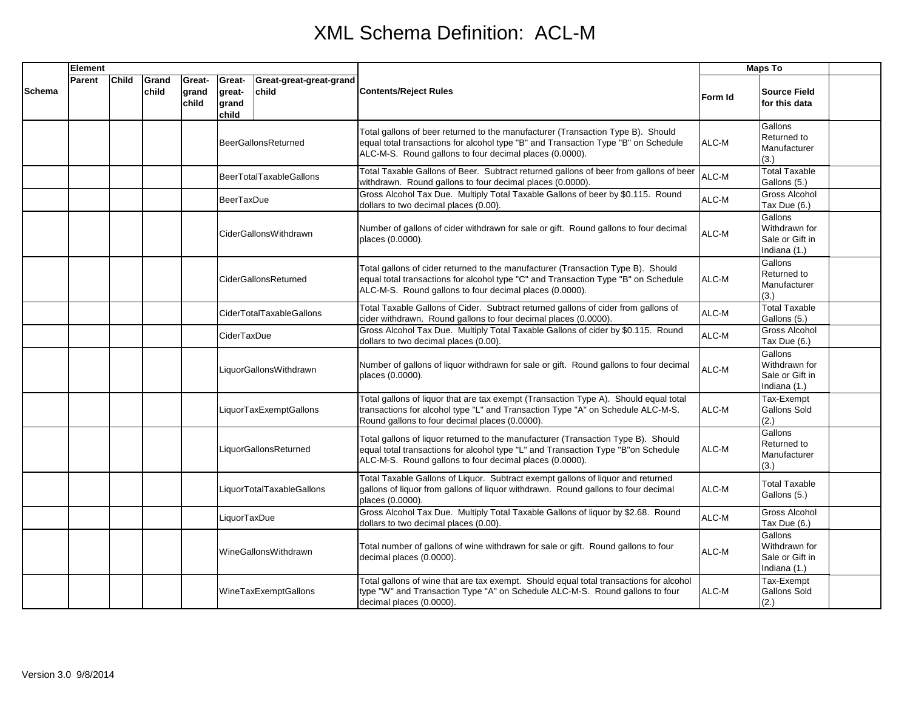|        | Element |              |                |                          |                                    |                                  |                                                                                                                                                                                                                                   | <b>Maps To</b> |                                                             |  |
|--------|---------|--------------|----------------|--------------------------|------------------------------------|----------------------------------|-----------------------------------------------------------------------------------------------------------------------------------------------------------------------------------------------------------------------------------|----------------|-------------------------------------------------------------|--|
| Schema | Parent  | <b>Child</b> | Grand<br>child | Great-<br>grand<br>child | Great-<br>great-<br>grand<br>child | Great-great-great-grand<br>child | <b>Contents/Reject Rules</b>                                                                                                                                                                                                      | Form Id        | <b>Source Field</b><br>for this data                        |  |
|        |         |              |                |                          |                                    | <b>BeerGallonsReturned</b>       | Total gallons of beer returned to the manufacturer (Transaction Type B). Should<br>equal total transactions for alcohol type "B" and Transaction Type "B" on Schedule<br>ALC-M-S. Round gallons to four decimal places (0.0000).  | ALC-M          | Gallons<br>Returned to<br>Manufacturer<br>(3.)              |  |
|        |         |              |                |                          |                                    | <b>BeerTotalTaxableGallons</b>   | Total Taxable Gallons of Beer. Subtract returned gallons of beer from gallons of beer<br>withdrawn. Round gallons to four decimal places (0.0000).                                                                                | ALC-M          | <b>Total Taxable</b><br>Gallons (5.)                        |  |
|        |         |              |                |                          | <b>BeerTaxDue</b>                  |                                  | Gross Alcohol Tax Due. Multiply Total Taxable Gallons of beer by \$0.115. Round<br>dollars to two decimal places (0.00).                                                                                                          | ALC-M          | Gross Alcohol<br>Tax Due (6.)                               |  |
|        |         |              |                |                          |                                    | <b>CiderGallonsWithdrawn</b>     | Number of gallons of cider withdrawn for sale or gift. Round gallons to four decimal<br>places (0.0000).                                                                                                                          | ALC-M          | Gallons<br>Withdrawn for<br>Sale or Gift in<br>Indiana (1.) |  |
|        |         |              |                |                          |                                    | CiderGallonsReturned             | Total gallons of cider returned to the manufacturer (Transaction Type B). Should<br>equal total transactions for alcohol type "C" and Transaction Type "B" on Schedule<br>ALC-M-S. Round gallons to four decimal places (0.0000). | ALC-M          | Gallons<br>Returned to<br>Manufacturer<br>(3.)              |  |
|        |         |              |                |                          |                                    | CiderTotalTaxableGallons         | Total Taxable Gallons of Cider. Subtract returned gallons of cider from gallons of<br>cider withdrawn. Round gallons to four decimal places (0.0000).                                                                             | ALC-M          | <b>Total Taxable</b><br>Gallons (5.)                        |  |
|        |         |              |                |                          | CiderTaxDue                        |                                  | Gross Alcohol Tax Due. Multiply Total Taxable Gallons of cider by \$0.115. Round<br>dollars to two decimal places (0.00).                                                                                                         | ALC-M          | <b>Gross Alcohol</b><br>Tax Due (6.)                        |  |
|        |         |              |                |                          |                                    | LiquorGallonsWithdrawn           | Number of gallons of liquor withdrawn for sale or gift. Round gallons to four decimal<br>places (0.0000).                                                                                                                         | ALC-M          | Gallons<br>Withdrawn for<br>Sale or Gift in<br>Indiana (1.) |  |
|        |         |              |                |                          |                                    | LiquorTaxExemptGallons           | Total gallons of liquor that are tax exempt (Transaction Type A). Should equal total<br>transactions for alcohol type "L" and Transaction Type "A" on Schedule ALC-M-S.<br>Round gallons to four decimal places (0.0000).         | ALC-M          | Tax-Exempt<br>Gallons Sold<br>(2.)                          |  |
|        |         |              |                |                          |                                    | LiquorGallonsReturned            | Total gallons of liquor returned to the manufacturer (Transaction Type B). Should<br>equal total transactions for alcohol type "L" and Transaction Type "B"on Schedule<br>ALC-M-S. Round gallons to four decimal places (0.0000). | ALC-M          | Gallons<br>Returned to<br>Manufacturer<br>(3.)              |  |
|        |         |              |                |                          |                                    | LiquorTotalTaxableGallons        | Total Taxable Gallons of Liquor. Subtract exempt gallons of liquor and returned<br>gallons of liquor from gallons of liquor withdrawn. Round gallons to four decimal<br>places (0.0000).                                          | ALC-M          | <b>Total Taxable</b><br>Gallons (5.)                        |  |
|        |         |              |                |                          | LiquorTaxDue                       |                                  | Gross Alcohol Tax Due. Multiply Total Taxable Gallons of liquor by \$2.68. Round<br>dollars to two decimal places (0.00).                                                                                                         | ALC-M          | Gross Alcohol<br>Tax Due (6.)                               |  |
|        |         |              |                |                          |                                    | WineGallonsWithdrawn             | Total number of gallons of wine withdrawn for sale or gift. Round gallons to four<br>decimal places (0.0000).                                                                                                                     | ALC-M          | Gallons<br>Withdrawn for<br>Sale or Gift in<br>Indiana (1.) |  |
|        |         |              |                |                          |                                    | WineTaxExemptGallons             | Total gallons of wine that are tax exempt. Should equal total transactions for alcohol<br>type "W" and Transaction Type "A" on Schedule ALC-M-S. Round gallons to four<br>decimal places (0.0000).                                | ALC-M          | Tax-Exempt<br><b>Gallons Sold</b><br>(2.)                   |  |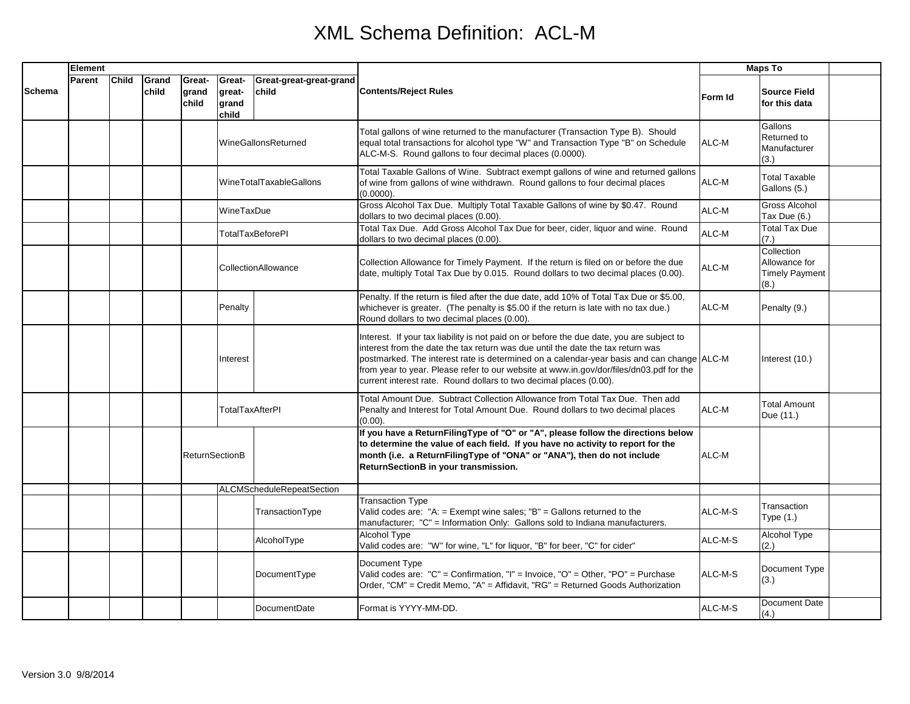|               | Element |              |                |                          |                                    |                                  | <b>Contents/Reject Rules</b>                                                                                                                                                                                                                                                                                                                                                                                                               | <b>Maps To</b> |                                                              |  |
|---------------|---------|--------------|----------------|--------------------------|------------------------------------|----------------------------------|--------------------------------------------------------------------------------------------------------------------------------------------------------------------------------------------------------------------------------------------------------------------------------------------------------------------------------------------------------------------------------------------------------------------------------------------|----------------|--------------------------------------------------------------|--|
| <b>Schema</b> | Parent  | <b>Child</b> | Grand<br>child | Great-<br>grand<br>child | Great-<br>great-<br>grand<br>child | Great-great-great-grand<br>child |                                                                                                                                                                                                                                                                                                                                                                                                                                            | Form Id        | <b>Source Field</b><br>for this data                         |  |
|               |         |              |                |                          |                                    | WineGallonsReturned              | Total gallons of wine returned to the manufacturer (Transaction Type B). Should<br>equal total transactions for alcohol type "W" and Transaction Type "B" on Schedule<br>ALC-M-S. Round gallons to four decimal places (0.0000).                                                                                                                                                                                                           | ALC-M          | Gallons<br>Returned to<br>Manufacturer<br>(3.)               |  |
|               |         |              |                |                          |                                    | WineTotalTaxableGallons          | Total Taxable Gallons of Wine. Subtract exempt gallons of wine and returned gallons<br>of wine from gallons of wine withdrawn. Round gallons to four decimal places<br>$(0.0000)$ .                                                                                                                                                                                                                                                        | ALC-M          | <b>Total Taxable</b><br>Gallons (5.)                         |  |
|               |         |              |                |                          | WineTaxDue                         |                                  | Gross Alcohol Tax Due. Multiply Total Taxable Gallons of wine by \$0.47. Round<br>dollars to two decimal places (0.00).                                                                                                                                                                                                                                                                                                                    | ALC-M          | Gross Alcohol<br>Tax Due (6.)                                |  |
|               |         |              |                |                          |                                    | <b>TotalTaxBeforePI</b>          | Total Tax Due. Add Gross Alcohol Tax Due for beer, cider, liquor and wine. Round<br>dollars to two decimal places (0.00).                                                                                                                                                                                                                                                                                                                  | ALC-M          | <b>Total Tax Due</b><br>(7.)                                 |  |
|               |         |              |                |                          |                                    | CollectionAllowance              | Collection Allowance for Timely Payment. If the return is filed on or before the due<br>date, multiply Total Tax Due by 0.015. Round dollars to two decimal places (0.00).                                                                                                                                                                                                                                                                 | ALC-M          | Collection<br>Allowance for<br><b>Timely Payment</b><br>(8.) |  |
|               |         |              |                |                          | Penalty                            |                                  | Penalty. If the return is filed after the due date, add 10% of Total Tax Due or \$5.00,<br>whichever is greater. (The penalty is \$5.00 if the return is late with no tax due.)<br>Round dollars to two decimal places (0.00).                                                                                                                                                                                                             | ALC-M          | Penalty (9.)                                                 |  |
|               |         |              |                |                          | Interest                           |                                  | Interest. If your tax liability is not paid on or before the due date, you are subject to<br>interest from the date the tax return was due until the date the tax return was<br>postmarked. The interest rate is determined on a calendar-year basis and can change ALC-M<br>from year to year. Please refer to our website at www.in.gov/dor/files/dn03.pdf for the<br>current interest rate. Round dollars to two decimal places (0.00). |                | Interest (10.)                                               |  |
|               |         |              |                |                          | <b>TotalTaxAfterPI</b>             |                                  | Total Amount Due. Subtract Collection Allowance from Total Tax Due. Then add<br>Penalty and Interest for Total Amount Due. Round dollars to two decimal places<br>$(0.00)$ .                                                                                                                                                                                                                                                               | ALC-M          | <b>Total Amount</b><br>Due (11.)                             |  |
|               |         |              |                | <b>ReturnSectionB</b>    |                                    |                                  | If you have a ReturnFilingType of "O" or "A", please follow the directions below<br>to determine the value of each field. If you have no activity to report for the<br>month (i.e. a ReturnFilingType of "ONA" or "ANA"), then do not include<br>ReturnSectionB in your transmission.                                                                                                                                                      | ALC-M          |                                                              |  |
|               |         |              |                |                          |                                    | <b>ALCMScheduleRepeatSection</b> |                                                                                                                                                                                                                                                                                                                                                                                                                                            |                |                                                              |  |
|               |         |              |                |                          |                                    | TransactionType                  | <b>Transaction Type</b><br>Valid codes are: "A: $=$ Exempt wine sales; "B" $=$ Gallons returned to the<br>manufacturer; "C" = Information Only: Gallons sold to Indiana manufacturers.                                                                                                                                                                                                                                                     | ALC-M-S        | Transaction<br>Type (1.)                                     |  |
|               |         |              |                |                          |                                    | AlcoholType                      | <b>Alcohol Type</b><br>Valid codes are: "W" for wine, "L" for liquor, "B" for beer, "C" for cider"                                                                                                                                                                                                                                                                                                                                         | ALC-M-S        | Alcohol Type<br>(2.)                                         |  |
|               |         |              |                |                          |                                    | DocumentType                     | Document Type<br>Valid codes are: "C" = Confirmation, "I" = Invoice, "O" = Other, "PO" = Purchase<br>Order, "CM" = Credit Memo, "A" = Affidavit, "RG" = Returned Goods Authorization                                                                                                                                                                                                                                                       | ALC-M-S        | Document Type<br>(3.)                                        |  |
|               |         |              |                |                          |                                    | DocumentDate                     | Format is YYYY-MM-DD.                                                                                                                                                                                                                                                                                                                                                                                                                      | ALC-M-S        | Document Date<br>(4.)                                        |  |